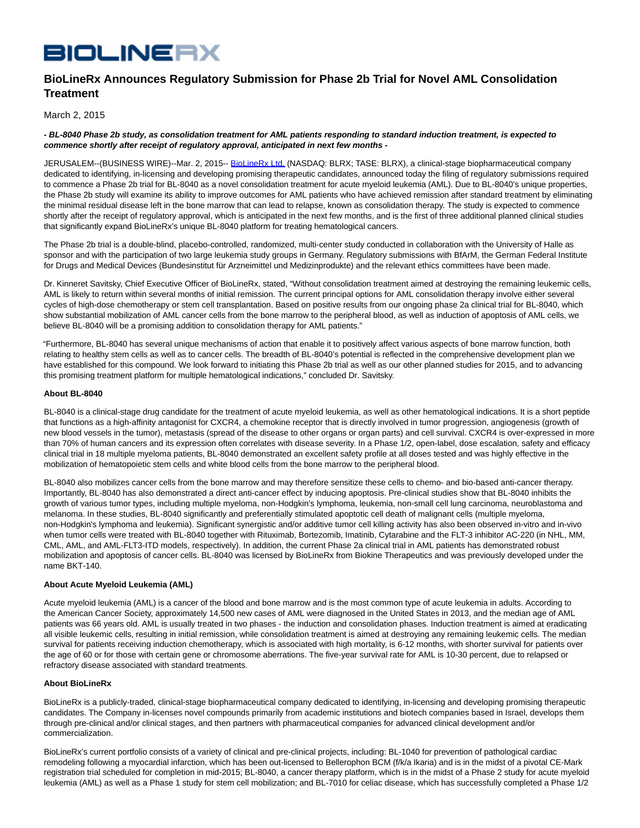# **BIOLINERX**

# **BioLineRx Announces Regulatory Submission for Phase 2b Trial for Novel AML Consolidation Treatment**

March 2, 2015

## **- BL-8040 Phase 2b study, as consolidation treatment for AML patients responding to standard induction treatment, is expected to commence shortly after receipt of regulatory approval, anticipated in next few months -**

JERUSALEM--(BUSINESS WIRE)--Mar. 2, 2015-- [BioLineRx Ltd. \(](http://cts.businesswire.com/ct/CT?id=smartlink&url=http%3A%2F%2Fwww.biolinerx.com&esheet=51050086&newsitemid=20150302005423&lan=en-US&anchor=BioLineRx+Ltd.&index=1&md5=805d98e132e7e9ab729883932bb4c2b1)NASDAQ: BLRX; TASE: BLRX), a clinical-stage biopharmaceutical company dedicated to identifying, in-licensing and developing promising therapeutic candidates, announced today the filing of regulatory submissions required to commence a Phase 2b trial for BL-8040 as a novel consolidation treatment for acute myeloid leukemia (AML). Due to BL-8040's unique properties, the Phase 2b study will examine its ability to improve outcomes for AML patients who have achieved remission after standard treatment by eliminating the minimal residual disease left in the bone marrow that can lead to relapse, known as consolidation therapy. The study is expected to commence shortly after the receipt of regulatory approval, which is anticipated in the next few months, and is the first of three additional planned clinical studies that significantly expand BioLineRx's unique BL-8040 platform for treating hematological cancers.

The Phase 2b trial is a double-blind, placebo-controlled, randomized, multi-center study conducted in collaboration with the University of Halle as sponsor and with the participation of two large leukemia study groups in Germany. Regulatory submissions with BfArM, the German Federal Institute for Drugs and Medical Devices (Bundesinstitut für Arzneimittel und Medizinprodukte) and the relevant ethics committees have been made.

Dr. Kinneret Savitsky, Chief Executive Officer of BioLineRx, stated, "Without consolidation treatment aimed at destroying the remaining leukemic cells, AML is likely to return within several months of initial remission. The current principal options for AML consolidation therapy involve either several cycles of high-dose chemotherapy or stem cell transplantation. Based on positive results from our ongoing phase 2a clinical trial for BL-8040, which show substantial mobilization of AML cancer cells from the bone marrow to the peripheral blood, as well as induction of apoptosis of AML cells, we believe BL-8040 will be a promising addition to consolidation therapy for AML patients."

"Furthermore, BL-8040 has several unique mechanisms of action that enable it to positively affect various aspects of bone marrow function, both relating to healthy stem cells as well as to cancer cells. The breadth of BL-8040's potential is reflected in the comprehensive development plan we have established for this compound. We look forward to initiating this Phase 2b trial as well as our other planned studies for 2015, and to advancing this promising treatment platform for multiple hematological indications," concluded Dr. Savitsky.

# **About BL-8040**

BL-8040 is a clinical-stage drug candidate for the treatment of acute myeloid leukemia, as well as other hematological indications. It is a short peptide that functions as a high-affinity antagonist for CXCR4, a chemokine receptor that is directly involved in tumor progression, angiogenesis (growth of new blood vessels in the tumor), metastasis (spread of the disease to other organs or organ parts) and cell survival. CXCR4 is over-expressed in more than 70% of human cancers and its expression often correlates with disease severity. In a Phase 1/2, open-label, dose escalation, safety and efficacy clinical trial in 18 multiple myeloma patients, BL-8040 demonstrated an excellent safety profile at all doses tested and was highly effective in the mobilization of hematopoietic stem cells and white blood cells from the bone marrow to the peripheral blood.

BL-8040 also mobilizes cancer cells from the bone marrow and may therefore sensitize these cells to chemo- and bio-based anti-cancer therapy. Importantly, BL-8040 has also demonstrated a direct anti-cancer effect by inducing apoptosis. Pre-clinical studies show that BL-8040 inhibits the growth of various tumor types, including multiple myeloma, non-Hodgkin's lymphoma, leukemia, non-small cell lung carcinoma, neuroblastoma and melanoma. In these studies, BL-8040 significantly and preferentially stimulated apoptotic cell death of malignant cells (multiple myeloma, non-Hodgkin's lymphoma and leukemia). Significant synergistic and/or additive tumor cell killing activity has also been observed in-vitro and in-vivo when tumor cells were treated with BL-8040 together with Rituximab, Bortezomib, Imatinib, Cytarabine and the FLT-3 inhibitor AC-220 (in NHL, MM, CML, AML, and AML-FLT3-ITD models, respectively). In addition, the current Phase 2a clinical trial in AML patients has demonstrated robust mobilization and apoptosis of cancer cells. BL-8040 was licensed by BioLineRx from Biokine Therapeutics and was previously developed under the name BKT-140.

## **About Acute Myeloid Leukemia (AML)**

Acute myeloid leukemia (AML) is a cancer of the blood and bone marrow and is the most common type of acute leukemia in adults. According to the American Cancer Society, approximately 14,500 new cases of AML were diagnosed in the United States in 2013, and the median age of AML patients was 66 years old. AML is usually treated in two phases - the induction and consolidation phases. Induction treatment is aimed at eradicating all visible leukemic cells, resulting in initial remission, while consolidation treatment is aimed at destroying any remaining leukemic cells. The median survival for patients receiving induction chemotherapy, which is associated with high mortality, is 6-12 months, with shorter survival for patients over the age of 60 or for those with certain gene or chromosome aberrations. The five-year survival rate for AML is 10-30 percent, due to relapsed or refractory disease associated with standard treatments.

## **About BioLineRx**

BioLineRx is a publicly-traded, clinical-stage biopharmaceutical company dedicated to identifying, in-licensing and developing promising therapeutic candidates. The Company in-licenses novel compounds primarily from academic institutions and biotech companies based in Israel, develops them through pre-clinical and/or clinical stages, and then partners with pharmaceutical companies for advanced clinical development and/or commercialization.

BioLineRx's current portfolio consists of a variety of clinical and pre-clinical projects, including: BL-1040 for prevention of pathological cardiac remodeling following a myocardial infarction, which has been out-licensed to Bellerophon BCM (f/k/a Ikaria) and is in the midst of a pivotal CE-Mark registration trial scheduled for completion in mid-2015; BL-8040, a cancer therapy platform, which is in the midst of a Phase 2 study for acute myeloid leukemia (AML) as well as a Phase 1 study for stem cell mobilization; and BL-7010 for celiac disease, which has successfully completed a Phase 1/2